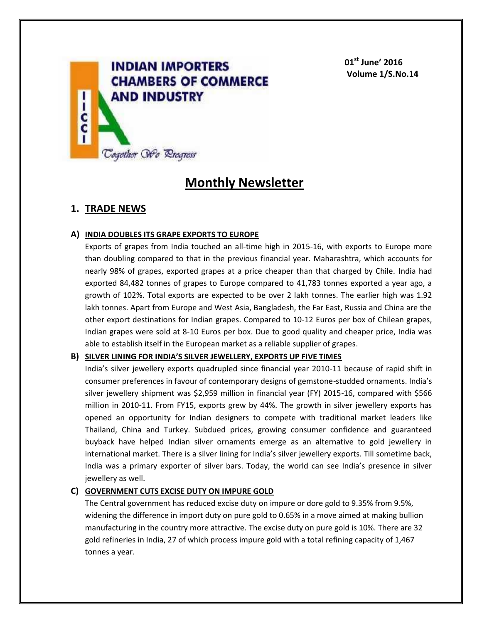

**01st June' 2016 Volume 1/S.No.14**

# **Monthly Newsletter**

# **1. TRADE NEWS**

### **A) INDIA DOUBLES ITS GRAPE EXPORTS TO EUROPE**

Exports of grapes from India touched an all-time high in 2015-16, with exports to Europe more than doubling compared to that in the previous financial year. Maharashtra, which accounts for nearly 98% of grapes, exported grapes at a price cheaper than that charged by Chile. India had exported 84,482 tonnes of grapes to Europe compared to 41,783 tonnes exported a year ago, a growth of 102%. Total exports are expected to be over 2 lakh tonnes. The earlier high was 1.92 lakh tonnes. Apart from Europe and West Asia, Bangladesh, the Far East, Russia and China are the other export destinations for Indian grapes. Compared to 10-12 Euros per box of Chilean grapes, Indian grapes were sold at 8-10 Euros per box. Due to good quality and cheaper price, India was able to establish itself in the European market as a reliable supplier of grapes.

### **B) SILVER LINING FOR INDIA'S SILVER JEWELLERY, EXPORTS UP FIVE TIMES**

India's silver jewellery exports quadrupled since financial year 2010-11 because of rapid shift in consumer preferences in favour of contemporary designs of gemstone-studded ornaments. India's silver jewellery shipment was \$2,959 million in financial year (FY) 2015-16, compared with \$566 million in 2010-11. From FY15, exports grew by 44%. The growth in silver jewellery exports has opened an opportunity for Indian designers to compete with traditional market leaders like Thailand, China and Turkey. Subdued prices, growing consumer confidence and guaranteed buyback have helped Indian silver ornaments emerge as an alternative to gold jewellery in international market. There is a silver lining for India's silver jewellery exports. Till sometime back, India was a primary exporter of silver bars. Today, the world can see India's presence in silver jewellery as well.

### **C) GOVERNMENT CUTS EXCISE DUTY ON IMPURE GOLD**

The Central government has reduced excise duty on impure or dore gold to 9.35% from 9.5%, widening the difference in import duty on pure gold to 0.65% in a move aimed at making bullion manufacturing in the country more attractive. The excise duty on pure gold is 10%. There are 32 gold refineries in India, 27 of which process impure gold with a total refining capacity of 1,467 tonnes a year.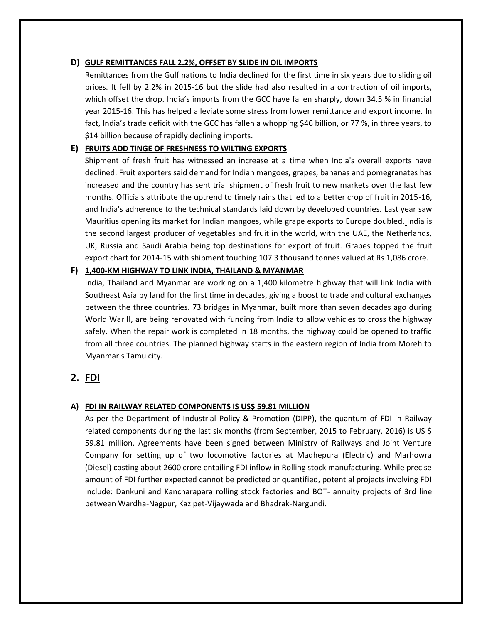### **D) GULF REMITTANCES FALL 2.2%, OFFSET BY SLIDE IN OIL IMPORTS**

Remittances from the Gulf nations to India declined for the first time in six years due to sliding oil prices. It fell by 2.2% in 2015-16 but the slide had also resulted in a contraction of oil imports, which offset the drop. India's imports from the GCC have fallen sharply, down 34.5 % in financial year 2015-16. This has helped alleviate some stress from lower remittance and export income. In fact, India's trade deficit with the GCC has fallen a whopping \$46 billion, or 77 %, in three years, to \$14 billion because of rapidly declining imports.

### **E) FRUITS ADD TINGE OF FRESHNESS TO WILTING EXPORTS**

Shipment of fresh fruit has witnessed an increase at a time when India's overall exports have declined. Fruit exporters said demand for Indian mangoes, grapes, bananas and pomegranates has increased and the country has sent trial shipment of fresh fruit to new markets over the last few months. Officials attribute the uptrend to timely rains that led to a better crop of fruit in 2015-16, and India's adherence to the technical standards laid down by developed countries. Last year saw Mauritius opening its market for Indian mangoes, while grape exports to Europe doubled. India is the second largest producer of vegetables and fruit in the world, with the UAE, the Netherlands, UK, Russia and Saudi Arabia being top destinations for export of fruit. Grapes topped the fruit export chart for 2014-15 with shipment touching 107.3 thousand tonnes valued at Rs 1,086 crore.

### **F) 1,400-KM HIGHWAY TO LINK INDIA, THAILAND & MYANMAR**

India, Thailand and Myanmar are working on a 1,400 kilometre highway that will link India with Southeast Asia by land for the first time in decades, giving a boost to trade and cultural exchanges between the three countries. 73 bridges in Myanmar, built more than seven decades ago during World War II, are being renovated with funding from India to allow vehicles to cross the highway safely. When the repair work is completed in 18 months, the highway could be opened to traffic from all three countries. The planned highway starts in the eastern region of India from Moreh to Myanmar's Tamu city.

# **2. FDI**

### **A) FDI IN RAILWAY RELATED COMPONENTS IS US\$ 59.81 MILLION**

As per the Department of Industrial Policy & Promotion (DIPP), the quantum of FDI in Railway related components during the last six months (from September, 2015 to February, 2016) is US \$ 59.81 million. Agreements have been signed between Ministry of Railways and Joint Venture Company for setting up of two locomotive factories at Madhepura (Electric) and Marhowra (Diesel) costing about 2600 crore entailing FDI inflow in Rolling stock manufacturing. While precise amount of FDI further expected cannot be predicted or quantified, potential projects involving FDI include: Dankuni and Kancharapara rolling stock factories and BOT- annuity projects of 3rd line between Wardha-Nagpur, Kazipet-Vijaywada and Bhadrak-Nargundi.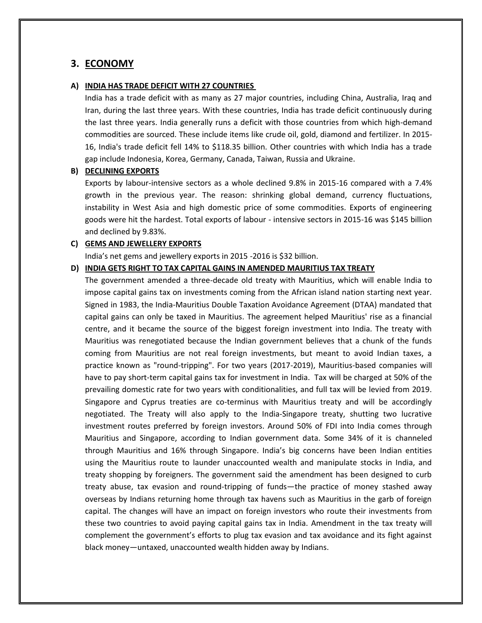# **3. ECONOMY**

#### **A) INDIA HAS TRADE DEFICIT WITH 27 COUNTRIES**

India has a trade deficit with as many as 27 major countries, including China, Australia, Iraq and Iran, during the last three years. With these countries, India has trade deficit continuously during the last three years. India generally runs a deficit with those countries from which high-demand commodities are sourced. These include items like crude oil, gold, diamond and fertilizer. In 2015- 16, India's trade deficit fell 14% to \$118.35 billion. Other countries with which India has a trade gap include Indonesia, Korea, Germany, Canada, Taiwan, Russia and Ukraine.

#### **B) DECLINING EXPORTS**

Exports by labour-intensive sectors as a whole declined 9.8% in 2015-16 compared with a 7.4% growth in the previous year. The reason: shrinking global demand, currency fluctuations, instability in West Asia and high domestic price of some commodities. Exports of engineering goods were hit the hardest. Total exports of labour - intensive sectors in 2015-16 was \$145 billion and declined by 9.83%.

### **C) GEMS AND JEWELLERY EXPORTS**

India's net gems and jewellery exports in 2015 -2016 is \$32 billion.

#### **D) INDIA GETS RIGHT TO TAX CAPITAL GAINS IN AMENDED MAURITIUS TAX TREATY**

The government amended a three-decade old treaty with Mauritius, which will enable India to impose capital gains tax on investments coming from the African island nation starting next year. Signed in 1983, the India-Mauritius Double Taxation Avoidance Agreement (DTAA) mandated that capital gains can only be taxed in Mauritius. The agreement helped Mauritius' rise as a financial centre, and it became the source of the biggest foreign investment into India. The treaty with Mauritius was renegotiated because the Indian government believes that a chunk of the funds coming from Mauritius are not real foreign investments, but meant to avoid Indian taxes, a practice known as "round-tripping". For two years (2017-2019), Mauritius-based companies will have to pay short-term capital gains tax for investment in India. Tax will be charged at 50% of the prevailing domestic rate for two years with conditionalities, and full tax will be levied from 2019. Singapore and Cyprus treaties are co-terminus with Mauritius treaty and will be accordingly negotiated. The Treaty will also apply to the India-Singapore treaty, shutting two lucrative investment routes preferred by foreign investors. Around 50% of FDI into India comes through Mauritius and Singapore, according to Indian government data. Some 34% of it is channeled through Mauritius and 16% through Singapore. India's big concerns have been Indian entities using the Mauritius route to launder unaccounted wealth and manipulate stocks in India, and treaty shopping by foreigners. The government said the amendment has been designed to curb treaty abuse, tax evasion and round-tripping of funds—the practice of money stashed away overseas by Indians returning home through tax havens such as Mauritius in the garb of foreign capital. The changes will have an impact on foreign investors who route their investments from these two countries to avoid paying capital gains tax in India. Amendment in the tax treaty will complement the government's efforts to plug tax evasion and tax avoidance and its fight against black money—untaxed, unaccounted wealth hidden away by Indians.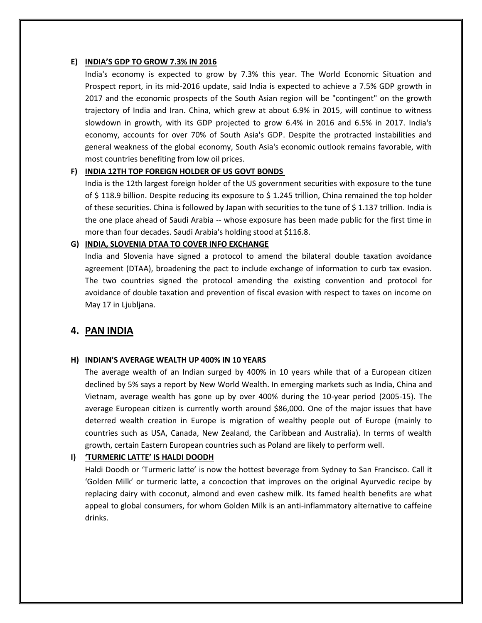### **E) INDIA'S GDP TO GROW 7.3% IN 2016**

India's economy is expected to grow by 7.3% this year. The World Economic Situation and Prospect report, in its mid-2016 update, said India is expected to achieve a 7.5% GDP growth in 2017 and the economic prospects of the South Asian region will be "contingent" on the growth trajectory of India and Iran. China, which grew at about 6.9% in 2015, will continue to witness slowdown in growth, with its GDP projected to grow 6.4% in 2016 and 6.5% in 2017. India's economy, accounts for over 70% of South Asia's GDP. Despite the protracted instabilities and general weakness of the global economy, South Asia's economic outlook remains favorable, with most countries benefiting from low oil prices.

### **F) INDIA 12TH TOP FOREIGN HOLDER OF US GOVT BONDS**

India is the 12th largest foreign holder of the US government securities with exposure to the tune of \$ 118.9 billion. Despite reducing its exposure to \$ 1.245 trillion, China remained the top holder of these securities. China is followed by Japan with securities to the tune of \$1.137 trillion. India is the one place ahead of Saudi Arabia -- whose exposure has been made public for the first time in more than four decades. Saudi Arabia's holding stood at \$116.8.

### **G) INDIA, SLOVENIA DTAA TO COVER INFO EXCHANGE**

India and Slovenia have signed a protocol to amend the bilateral double taxation avoidance agreement (DTAA), broadening the pact to include exchange of information to curb tax evasion. The two countries signed the protocol amending the existing convention and protocol for avoidance of double taxation and prevention of fiscal evasion with respect to taxes on income on May 17 in Ljubljana.

### **4. PAN INDIA**

#### **H) INDIAN'S AVERAGE WEALTH UP 400% IN 10 YEARS**

The average wealth of an Indian surged by 400% in 10 years while that of a European citizen declined by 5% says a report by New World Wealth. In emerging markets such as India, China and Vietnam, average wealth has gone up by over 400% during the 10-year period (2005-15). The average European citizen is currently worth around \$86,000. One of the major issues that have deterred wealth creation in Europe is migration of wealthy people out of Europe (mainly to countries such as USA, Canada, New Zealand, the Caribbean and Australia). In terms of wealth growth, certain Eastern European countries such as Poland are likely to perform well.

### **I) 'TURMERIC LATTE' IS HALDI DOODH**

Haldi Doodh or 'Turmeric latte' is now the hottest beverage from Sydney to San Francisco. Call it 'Golden Milk' or turmeric latte, a concoction that improves on the original Ayurvedic recipe by replacing dairy with coconut, almond and even cashew milk. Its famed health benefits are what appeal to global consumers, for whom Golden Milk is an anti-inflammatory alternative to caffeine drinks.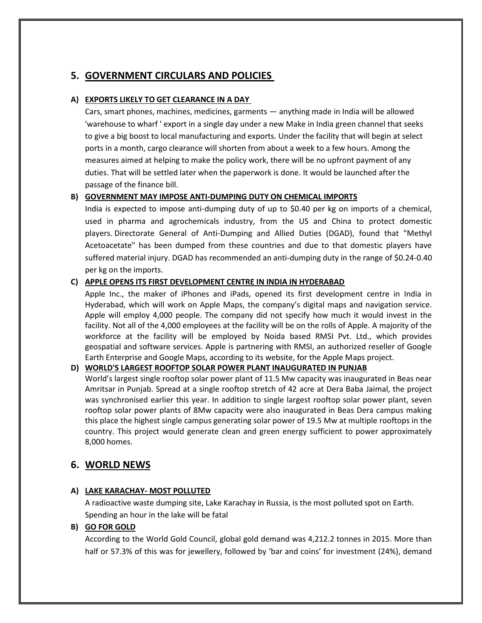# **5. GOVERNMENT CIRCULARS AND POLICIES**

### **A) EXPORTS LIKELY TO GET CLEARANCE IN A DAY**

Cars, smart phones, machines, medicines, garments — anything made in India will be allowed 'warehouse to wharf ' export in a single day under a new Make in India green channel that seeks to give a big boost to local manufacturing and exports. Under the facility that will begin at select ports in a month, cargo clearance will shorten from about a week to a few hours. Among the measures aimed at helping to make the policy work, there will be no upfront payment of any duties. That will be settled later when the paperwork is done. It would be launched after the passage of the finance bill.

# **B) GOVERNMENT MAY IMPOSE ANTI-DUMPING DUTY ON CHEMICAL IMPORTS**

India is expected to impose anti-dumping duty of up to \$0.40 per kg on imports of a chemical, used in pharma and agrochemicals industry, from the US and China to protect domestic players. Directorate General of Anti-Dumping and Allied Duties (DGAD), found that "Methyl Acetoacetate" has been dumped from these countries and due to that domestic players have suffered material injury. DGAD has recommended an anti-dumping duty in the range of \$0.24-0.40 per kg on the imports.

### **C) APPLE OPENS ITS FIRST DEVELOPMENT CENTRE IN INDIA IN HYDERABAD**

Apple Inc., the maker of iPhones and iPads, opened its first development centre in India in Hyderabad, which will work on Apple Maps, the company's digital maps and navigation service. Apple will employ 4,000 people. The company did not specify how much it would invest in the facility. Not all of the 4,000 employees at the facility will be on the rolls of Apple. A majority of the workforce at the facility will be employed by Noida based RMSI Pvt. Ltd., which provides geospatial and software services. Apple is partnering with RMSI, an authorized reseller of Google Earth Enterprise and Google Maps, according to its website, for the Apple Maps project.

### **D) WORLD'S LARGEST ROOFTOP SOLAR POWER PLANT INAUGURATED IN PUNJAB**

World's largest single rooftop solar power plant of 11.5 Mw capacity was inaugurated in Beas near Amritsar in Punjab. Spread at a single rooftop stretch of 42 acre at Dera Baba Jaimal, the project was synchronised earlier this year. In addition to single largest rooftop solar power plant, seven rooftop solar power plants of 8Mw capacity were also inaugurated in Beas Dera campus making this place the highest single campus generating solar power of 19.5 Mw at multiple rooftops in the country. This project would generate clean and green energy sufficient to power approximately 8,000 homes.

# **6. WORLD NEWS**

# **A) LAKE KARACHAY- MOST POLLUTED**

A radioactive waste dumping site, Lake Karachay in Russia, is the most polluted spot on Earth. Spending an hour in the lake will be fatal

### **B) GO FOR GOLD**

According to the World Gold Council, global gold demand was 4,212.2 tonnes in 2015. More than half or 57.3% of this was for jewellery, followed by 'bar and coins' for investment (24%), demand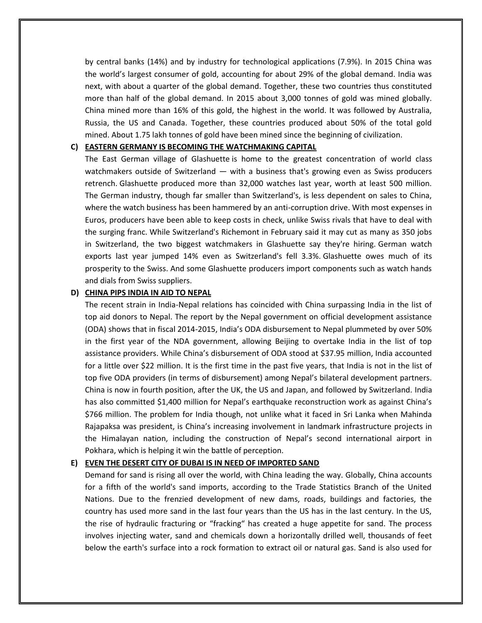by central banks (14%) and by industry for technological applications (7.9%). In 2015 China was the world's largest consumer of gold, accounting for about 29% of the global demand. India was next, with about a quarter of the global demand. Together, these two countries thus constituted more than half of the global demand. In 2015 about 3,000 tonnes of gold was mined globally. China mined more than 16% of this gold, the highest in the world. It was followed by Australia, Russia, the US and Canada. Together, these countries produced about 50% of the total gold mined. About 1.75 lakh tonnes of gold have been mined since the beginning of civilization.

### **C) EASTERN GERMANY IS BECOMING THE WATCHMAKING CAPITAL**

The East German village of Glashuette is home to the greatest concentration of world class watchmakers outside of Switzerland — with a business that's growing even as Swiss producers retrench. Glashuette produced more than 32,000 watches last year, worth at least 500 million. The German industry, though far smaller than Switzerland's, is less dependent on sales to China, where the watch business has been hammered by an anti-corruption drive. With most expenses in Euros, producers have been able to keep costs in check, unlike Swiss rivals that have to deal with the surging franc. While Switzerland's Richemont in February said it may cut as many as 350 jobs in Switzerland, the two biggest watchmakers in Glashuette say they're hiring. German watch exports last year jumped 14% even as Switzerland's fell 3.3%. Glashuette owes much of its prosperity to the Swiss. And some Glashuette producers import components such as watch hands and dials from Swiss suppliers.

#### **D) CHINA PIPS INDIA IN AID TO NEPAL**

The recent strain in India-Nepal relations has coincided with China surpassing India in the list of top aid donors to Nepal. The report by the Nepal government on official development assistance (ODA) shows that in fiscal 2014-2015, India's ODA disbursement to Nepal plummeted by over 50% in the first year of the NDA government, allowing Beijing to overtake India in the list of top assistance providers. While China's disbursement of ODA stood at \$37.95 million, India accounted for a little over \$22 million. It is the first time in the past five years, that India is not in the list of top five ODA providers (in terms of disbursement) among Nepal's bilateral development partners. China is now in fourth position, after the UK, the US and Japan, and followed by Switzerland. India has also committed \$1,400 million for Nepal's earthquake reconstruction work as against China's \$766 million. The problem for India though, not unlike what it faced in Sri Lanka when Mahinda Rajapaksa was president, is China's increasing involvement in landmark infrastructure projects in the Himalayan nation, including the construction of Nepal's second international airport in Pokhara, which is helping it win the battle of perception.

#### **E) EVEN THE DESERT CITY OF DUBAI IS IN NEED OF IMPORTED SAND**

Demand for sand is rising all over the world, with China leading the way. Globally, China accounts for a fifth of the world's sand imports, according to the Trade Statistics Branch of the United Nations. Due to the frenzied development of new dams, roads, buildings and factories, the country has used more sand in the last four years than the US has in the last century. In the US, the rise of hydraulic fracturing or "fracking" has created a huge appetite for sand. The process involves injecting water, sand and chemicals down a horizontally drilled well, thousands of feet below the earth's surface into a rock formation to extract oil or natural gas. Sand is also used for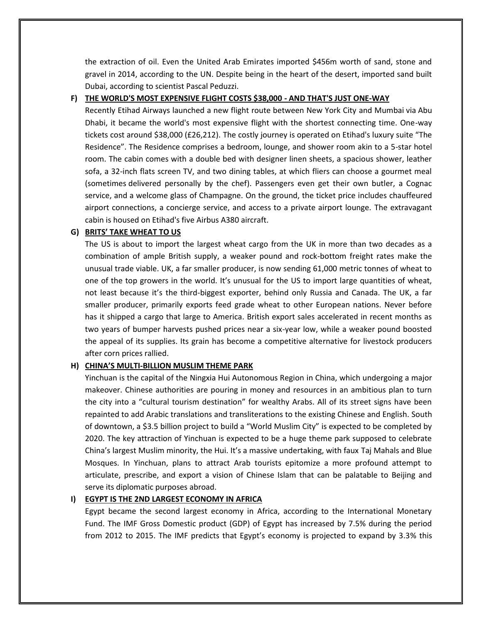the extraction of oil. Even the United Arab Emirates imported \$456m worth of sand, stone and gravel in 2014, according to the UN. Despite being in the heart of the desert, imported sand built Dubai, according to scientist Pascal Peduzzi.

#### **F) THE WORLD'S MOST EXPENSIVE FLIGHT COSTS \$38,000 - AND THAT'S JUST ONE-WAY**

Recently Etihad Airways launched a new flight route between New York City and Mumbai via Abu Dhabi, it became the world's most expensive flight with the shortest connecting time. One-way tickets cost around \$38,000 (£26,212). The costly journey is operated on Etihad's luxury suite "The Residence". The Residence comprises a bedroom, lounge, and shower room akin to a 5-star hotel room. The cabin comes with a double bed with designer linen sheets, a spacious shower, leather sofa, a 32-inch flats screen TV, and two dining tables, at which fliers can choose a gourmet meal (sometimes delivered personally by the chef). Passengers even get their own butler, a Cognac service, and a welcome glass of Champagne. On the ground, the ticket price includes chauffeured airport connections, a concierge service, and access to a private airport lounge. The extravagant cabin is housed on Etihad's five Airbus A380 aircraft.

### **G) BRITS' TAKE WHEAT TO US**

The US is about to import the largest wheat cargo from the UK in more than two decades as a combination of ample British supply, a weaker pound and rock-bottom freight rates make the unusual trade viable. UK, a far smaller producer, is now sending 61,000 metric tonnes of wheat to one of the top growers in the world. It's unusual for the US to import large quantities of wheat, not least because it's the third-biggest exporter, behind only Russia and Canada. The UK, a far smaller producer, primarily exports feed grade wheat to other European nations. Never before has it shipped a cargo that large to America. British export sales accelerated in recent months as two years of bumper harvests pushed prices near a six-year low, while a weaker pound boosted the appeal of its supplies. Its grain has become a competitive alternative for livestock producers after corn prices rallied.

### **H) CHINA'S MULTI-BILLION MUSLIM THEME PARK**

Yinchuan is the capital of the Ningxia Hui Autonomous Region in China, which undergoing a major makeover. Chinese authorities are pouring in money and resources in an ambitious plan to turn the city into a "cultural tourism destination" for wealthy Arabs. All of its street signs have been repainted to add Arabic translations and transliterations to the existing Chinese and English. South of downtown, a \$3.5 billion project to build a "World Muslim City" is expected to be completed by 2020. The key attraction of Yinchuan is expected to be a huge theme park supposed to celebrate China's largest Muslim minority, the Hui. It's a massive undertaking, with faux Taj Mahals and Blue Mosques. In Yinchuan, plans to attract Arab tourists epitomize a more profound attempt to articulate, prescribe, and export a vision of Chinese Islam that can be palatable to Beijing and serve its diplomatic purposes abroad.

### **I) EGYPT IS THE 2ND LARGEST ECONOMY IN AFRICA**

Egypt became the second largest economy in Africa, according to the International Monetary Fund. The IMF Gross Domestic product (GDP) of Egypt has increased by 7.5% during the period from 2012 to 2015. The IMF predicts that Egypt's economy is projected to expand by 3.3% this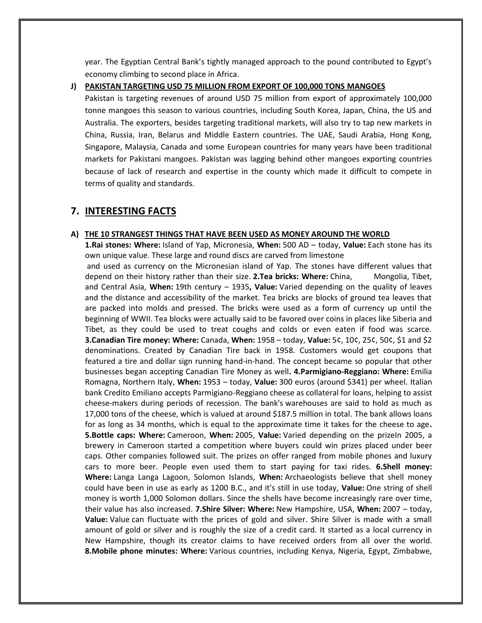year. The Egyptian Central Bank's tightly managed approach to the pound contributed to Egypt's economy climbing to second place in Africa.

**J) PAKISTAN TARGETING USD 75 MILLION FROM EXPORT OF 100,000 TONS MANGOES**

Pakistan is targeting revenues of around USD 75 million from export of approximately 100,000 tonne mangoes this season to various countries, including South Korea, Japan, China, the US and Australia. The exporters, besides targeting traditional markets, will also try to tap new markets in China, Russia, Iran, Belarus and Middle Eastern countries. The UAE, Saudi Arabia, Hong Kong, Singapore, Malaysia, Canada and some European countries for many years have been traditional markets for Pakistani mangoes. Pakistan was lagging behind other mangoes exporting countries because of lack of research and expertise in the county which made it difficult to compete in terms of quality and standards.

### **7. INTERESTING FACTS**

#### **A) THE 10 STRANGEST THINGS THAT HAVE BEEN USED AS MONEY AROUND THE WORLD**

**1.Rai stones: Where:** Island of Yap, Micronesia, **When:** 500 AD – today, **Value:** Each stone has its own unique value. These large and round discs are carved from limestone

and used as currency on the Micronesian island of Yap. The stones have different values that depend on their history rather than their size. **2.Tea bricks: Where:** China, Mongolia, Tibet, and Central Asia, **When:** 19th century – 1935**, Value:** Varied depending on the quality of leaves and the distance and accessibility of the market. Tea bricks are blocks of ground tea leaves that are packed into molds and pressed. The bricks were used as a form of currency up until the beginning of WWII. Tea blocks were actually said to be favored over coins in places like Siberia and Tibet, as they could be used to treat coughs and colds or even eaten if food was scarce. **3.Canadian Tire money: Where:** Canada, **When:** 1958 – today, **Value:** 5¢, 10¢, 25¢, 50¢, \$1 and \$2 denominations. Created by Canadian Tire back in 1958. Customers would get coupons that featured a tire and dollar sign running hand-in-hand. The concept became so popular that other businesses began accepting Canadian Tire Money as well**. 4.Parmigiano-Reggiano: Where:** Emilia Romagna, Northern Italy, **When:** 1953 – today, **Value:** 300 euros (around \$341) per wheel. Italian bank Credito Emiliano accepts Parmigiano-Reggiano cheese as collateral for loans, helping to assist cheese-makers during periods of recession. The bank's warehouses are said to hold as much as 17,000 tons of the cheese, which is valued at around \$187.5 million in total. The bank allows loans for as long as 34 months, which is equal to the approximate time it takes for the cheese to age**. 5.Bottle caps: Where:** Cameroon, **When:** 2005, **Value:** Varied depending on the prizeIn 2005, a brewery in Cameroon started a competition where buyers could win prizes placed under beer caps. Other companies followed suit. The prizes on offer ranged from mobile phones and luxury cars to more beer. People even used them to start paying for taxi rides. **6.Shell money: Where:** Langa Langa Lagoon, Solomon Islands, **When:** Archaeologists believe that shell money could have been in use as early as 1200 B.C., and it's still in use today, **Value:** One string of shell money is worth 1,000 Solomon dollars. Since the shells have become increasingly rare over time, their value has also increased. **7.Shire Silver: Where:** New Hampshire, USA, **When:** 2007 – today, **Value:** Value can fluctuate with the prices of gold and silver. Shire Silver is made with a small amount of gold or silver and is roughly the size of a credit card. It started as a local currency in New Hampshire, though its creator claims to have received orders from all over the world. **8.Mobile phone minutes: Where:** Various countries, including Kenya, Nigeria, Egypt, Zimbabwe,